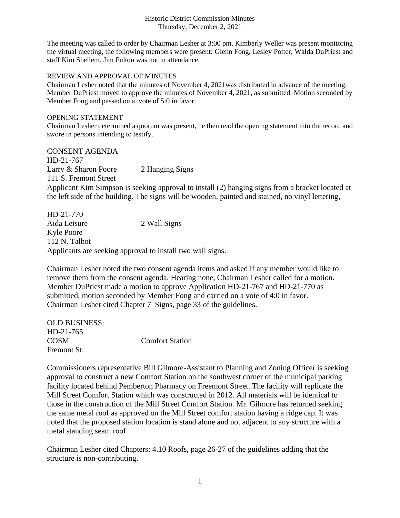## Historic District Commission Minutes Thursday, December 2, 2021

The meeting was called to order by Chairman Lesher at 3:00 pm. Kimberly Weller was present monitoring the virtual meeting, the following members were present: Glenn Fong, Lesley Potter, Walda DuPriest and staff Kim Shellem. Jim Fulton was not in attendance.

## REVIEW AND APPROVAL OF MINUTES

Chairman Lesher noted that the minutes of November 4, 2021was distributed in advance of the meeting. Member DuPriest moved to approve the minutes of November 4, 2021, as submitted. Motion seconded by Member Fong and passed on a vote of 5:0 in favor.

#### OPENING STATEMENT

Chairman Lesher determined a quorum was present, he then read the opening statement into the record and swore in persons intending to testify.

CONSENT AGENDA HD-21-767 Larry & Sharon Poore 2 Hanging Signs 111 S. Fremont Street Applicant Kim Simpson is seeking approval to install (2) hanging signs from a bracket located at the left side of the building. The signs will be wooden, painted and stained, no vinyl lettering,

| HD-21-770     |                                                            |
|---------------|------------------------------------------------------------|
| Aida Leisure  | 2 Wall Signs                                               |
| Kyle Poore    |                                                            |
| 112 N. Talbot |                                                            |
|               | Applicants are seeking approval to install two wall signs. |

Chairman Lesher noted the two consent agenda items and asked if any member would like to remove them from the consent agenda. Hearing none, Chairman Lesher called for a motion. Member DuPriest made a motion to approve Application HD-21-767 and HD-21-770 as submitted, motion seconded by Member Fong and carried on a vote of 4:0 in favor. Chairman Lesher cited Chapter 7 Signs, page 33 of the guidelines.

| OLD BUSINESS: |                        |
|---------------|------------------------|
| HD-21-765     |                        |
| COSM          | <b>Comfort Station</b> |
| Fremont St.   |                        |

Commissioners representative Bill Gilmore-Assistant to Planning and Zoning Officer is seeking approval to construct a new Comfort Station on the southwest corner of the municipal parking facility located behind Pemberton Pharmacy on Freemont Street. The facility will replicate the Mill Street Comfort Station which was constructed in 2012. All materials will be identical to those in the construction of the Mill Street Comfort Station. Mr. Gilmore has returned seeking the same metal roof as approved on the Mill Street comfort station having a ridge cap. It was noted that the proposed station location is stand alone and not adjacent to any structure with a metal standing seam roof.

Chairman Lesher cited Chapters: 4.10 Roofs, page 26-27 of the guidelines adding that the structure is non-contributing.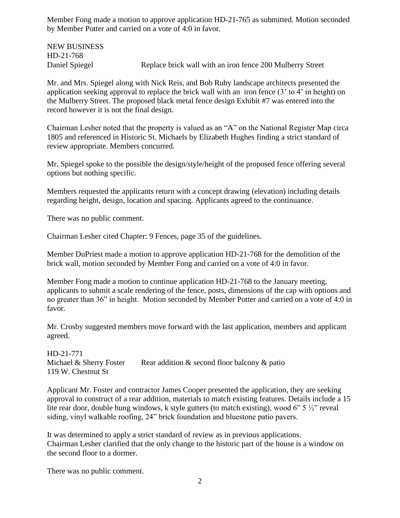Member Fong made a motion to approve application HD-21-765 as submitted. Motion seconded by Member Potter and carried on a vote of 4:0 in favor.

NEW BUSINESS HD-21-768

Daniel Spiegel Replace brick wall with an iron fence 200 Mulberry Street

Mr. and Mrs. Spiegel along with Nick Reis, and Bob Ruby landscape architects presented the application seeking approval to replace the brick wall with an iron fence (3' to 4' in height) on the Mulberry Street. The proposed black metal fence design Exhibit #7 was entered into the record however it is not the final design.

Chairman Lesher noted that the property is valued as an "A" on the National Register Map circa 1805 and referenced in Historic St. Michaels by Elizabeth Hughes finding a strict standard of review appropriate. Members concurred.

Mr. Spiegel spoke to the possible the design/style/height of the proposed fence offering several options but nothing specific.

Members requested the applicants return with a concept drawing (elevation) including details regarding height, design, location and spacing. Applicants agreed to the continuance.

There was no public comment.

Chairman Lesher cited Chapter: 9 Fences, page 35 of the guidelines.

Member DuPriest made a motion to approve application HD-21-768 for the demolition of the brick wall, motion seconded by Member Fong and carried on a vote of 4:0 in favor.

Member Fong made a motion to continue application HD-21-768 to the January meeting, applicants to submit a scale rendering of the fence, posts, dimensions of the cap with options and no greater than 36" in height. Motion seconded by Member Potter and carried on a vote of 4:0 in favor.

Mr. Crosby suggested members move forward with the last application, members and applicant agreed.

HD-21-771 Michael & Sherry Foster Rear addition  $\&$  second floor balcony  $\&$  patio 119 W. Chestnut St

Applicant Mr. Foster and contractor James Cooper presented the application, they are seeking approval to construct of a rear addition, materials to match existing features. Details include a 15 lite rear door, double hung windows, k style gutters (to match existing), wood 6" 5  $\frac{1}{2}$ " reveal siding, vinyl walkable roofing, 24" brick foundation and bluestone patio pavers.

It was determined to apply a strict standard of review as in previous applications. Chairman Lesher clarified that the only change to the historic part of the house is a window on the second floor to a dormer.

There was no public comment.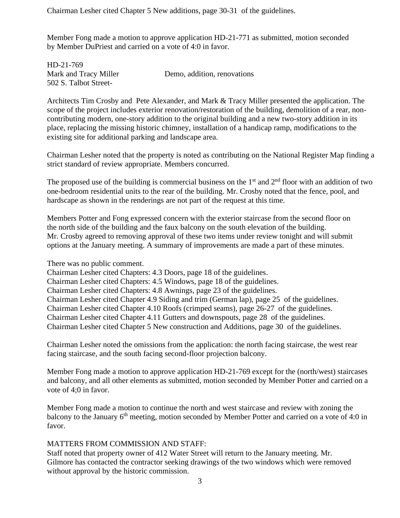Chairman Lesher cited Chapter 5 New additions, page 30-31 of the guidelines.

Member Fong made a motion to approve application HD-21-771 as submitted, motion seconded by Member DuPriest and carried on a vote of 4:0 in favor.

HD-21-769 Mark and Tracy Miller Demo, addition, renovations 502 S. Talbot Street-

Architects Tim Crosby and Pete Alexander, and Mark & Tracy Miller presented the application. The scope of the project includes exterior renovation/restoration of the building, demolition of a rear, noncontributing modern, one-story addition to the original building and a new two-story addition in its place, replacing the missing historic chimney, installation of a handicap ramp, modifications to the existing site for additional parking and landscape area.

Chairman Lesher noted that the property is noted as contributing on the National Register Map finding a strict standard of review appropriate. Members concurred.

The proposed use of the building is commercial business on the  $1<sup>st</sup>$  and  $2<sup>nd</sup>$  floor with an addition of two one-bedroom residential units to the rear of the building. Mr. Crosby noted that the fence, pool, and hardscape as shown in the renderings are not part of the request at this time.

Members Potter and Fong expressed concern with the exterior staircase from the second floor on the north side of the building and the faux balcony on the south elevation of the building. Mr. Crosby agreed to removing approval of these two items under review tonight and will submit options at the January meeting. A summary of improvements are made a part of these minutes.

There was no public comment.

Chairman Lesher cited Chapters: 4.3 Doors, page 18 of the guidelines.

Chairman Lesher cited Chapters: 4.5 Windows, page 18 of the guidelines.

Chairman Lesher cited Chapters: 4.8 Awnings, page 23 of the guidelines.

Chairman Lesher cited Chapter 4.9 Siding and trim (German lap), page 25 of the guidelines.

Chairman Lesher cited Chapter 4.10 Roofs (crimped seams), page 26-27 of the guidelines.

Chairman Lesher cited Chapter 4.11 Gutters and downspouts, page 28 of the guidelines.

Chairman Lesher cited Chapter 5 New construction and Additions, page 30 of the guidelines.

Chairman Lesher noted the omissions from the application: the north facing staircase, the west rear facing staircase, and the south facing second-floor projection balcony.

Member Fong made a motion to approve application HD-21-769 except for the (north/west) staircases and balcony, and all other elements as submitted, motion seconded by Member Potter and carried on a vote of 4;0 in favor.

Member Fong made a motion to continue the north and west staircase and review with zoning the balcony to the January 6<sup>th</sup> meeting, motion seconded by Member Potter and carried on a vote of 4:0 in favor.

# MATTERS FROM COMMISSION AND STAFF:

Staff noted that property owner of 412 Water Street will return to the January meeting. Mr. Gilmore has contacted the contractor seeking drawings of the two windows which were removed without approval by the historic commission.